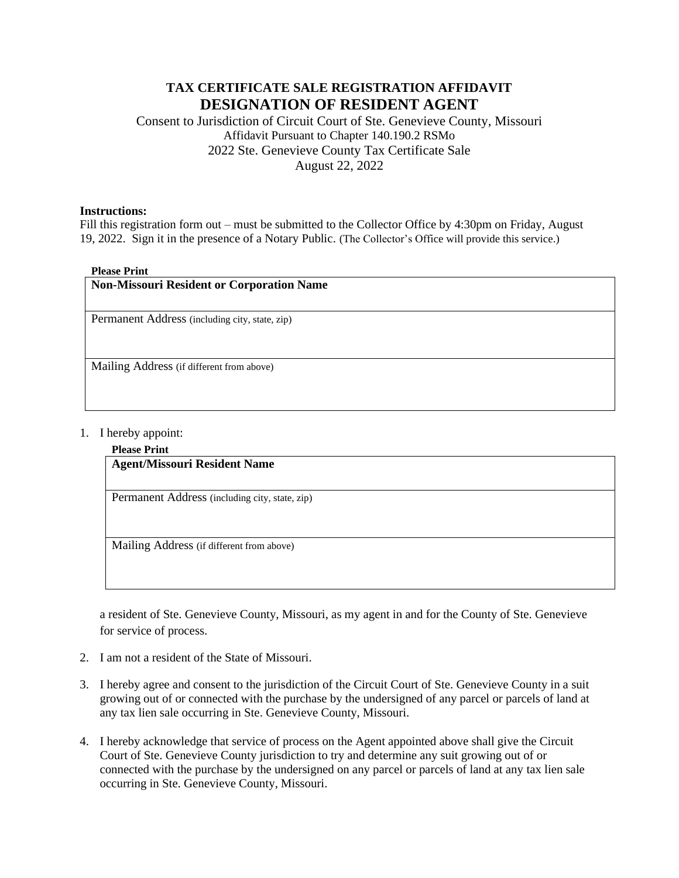# **TAX CERTIFICATE SALE REGISTRATION AFFIDAVIT DESIGNATION OF RESIDENT AGENT**

Consent to Jurisdiction of Circuit Court of Ste. Genevieve County, Missouri Affidavit Pursuant to Chapter 140.190.2 RSMo 2022 Ste. Genevieve County Tax Certificate Sale August 22, 2022

## **Instructions:**

Fill this registration form out – must be submitted to the Collector Office by 4:30pm on Friday, August 19, 2022. Sign it in the presence of a Notary Public. (The Collector's Office will provide this service.)

### **Please Print**

| <b>Non-Missouri Resident or Corporation Name</b> |
|--------------------------------------------------|
| Permanent Address (including city, state, zip)   |
| Mailing Address (if different from above)        |

### 1. I hereby appoint:

## **Please Print**

# **Agent/Missouri Resident Name**

Permanent Address (including city, state, zip)

Mailing Address (if different from above)

a resident of Ste. Genevieve County, Missouri, as my agent in and for the County of Ste. Genevieve for service of process.

- 2. I am not a resident of the State of Missouri.
- 3. I hereby agree and consent to the jurisdiction of the Circuit Court of Ste. Genevieve County in a suit growing out of or connected with the purchase by the undersigned of any parcel or parcels of land at any tax lien sale occurring in Ste. Genevieve County, Missouri.
- 4. I hereby acknowledge that service of process on the Agent appointed above shall give the Circuit Court of Ste. Genevieve County jurisdiction to try and determine any suit growing out of or connected with the purchase by the undersigned on any parcel or parcels of land at any tax lien sale occurring in Ste. Genevieve County, Missouri.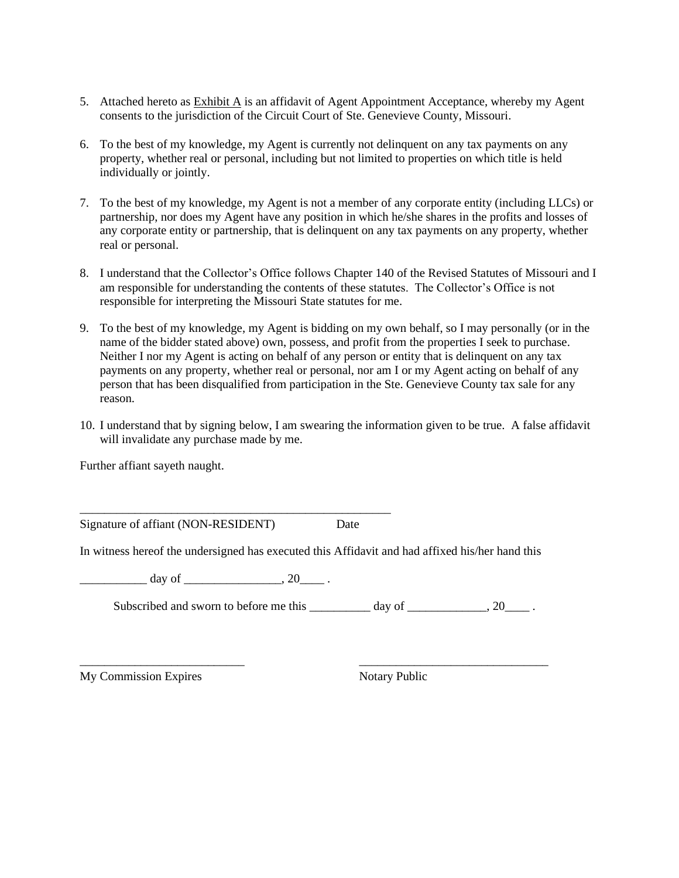- 5. Attached hereto as Exhibit A is an affidavit of Agent Appointment Acceptance, whereby my Agent consents to the jurisdiction of the Circuit Court of Ste. Genevieve County, Missouri.
- 6. To the best of my knowledge, my Agent is currently not delinquent on any tax payments on any property, whether real or personal, including but not limited to properties on which title is held individually or jointly.
- 7. To the best of my knowledge, my Agent is not a member of any corporate entity (including LLCs) or partnership, nor does my Agent have any position in which he/she shares in the profits and losses of any corporate entity or partnership, that is delinquent on any tax payments on any property, whether real or personal.
- 8. I understand that the Collector's Office follows Chapter 140 of the Revised Statutes of Missouri and I am responsible for understanding the contents of these statutes. The Collector's Office is not responsible for interpreting the Missouri State statutes for me.
- 9. To the best of my knowledge, my Agent is bidding on my own behalf, so I may personally (or in the name of the bidder stated above) own, possess, and profit from the properties I seek to purchase. Neither I nor my Agent is acting on behalf of any person or entity that is delinquent on any tax payments on any property, whether real or personal, nor am I or my Agent acting on behalf of any person that has been disqualified from participation in the Ste. Genevieve County tax sale for any reason.
- 10. I understand that by signing below, I am swearing the information given to be true. A false affidavit will invalidate any purchase made by me.

Further affiant sayeth naught.

Signature of affiant (NON-RESIDENT) Date

\_\_\_\_\_\_\_\_\_\_\_\_\_\_\_\_\_\_\_\_\_\_\_\_\_\_\_\_\_\_\_\_\_\_\_\_\_\_\_\_\_\_\_\_\_\_\_\_\_\_\_

In witness hereof the undersigned has executed this Affidavit and had affixed his/her hand this

 $day of$   $, 20$ 

Subscribed and sworn to before me this \_\_\_\_\_\_\_\_\_ day of \_\_\_\_\_\_\_\_\_\_, 20\_\_\_\_\_.

\_\_\_\_\_\_\_\_\_\_\_\_\_\_\_\_\_\_\_\_\_\_\_\_\_\_\_ \_\_\_\_\_\_\_\_\_\_\_\_\_\_\_\_\_\_\_\_\_\_\_\_\_\_\_\_\_\_\_

My Commission Expires Notary Public